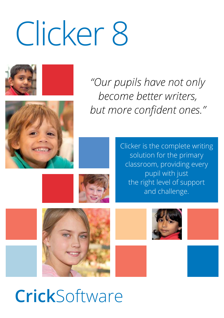# Clicker 8





*"Our pupils have not only become better writers, but more confident ones."*

> Clicker is the complete writing solution for the primary classroom, providing every pupil with just the right level of support and challenge.











**Crick**Software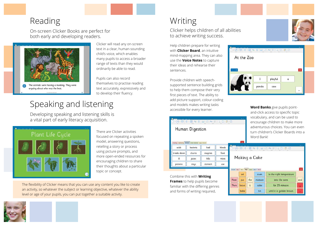### Reading

On-screen Clicker Books are perfect for both early and developing readers.



Clicker will read any on-screen text in a clear, human-sounding child's voice, which enables many pupils to access a broader range of texts than they would ordinarily be able to read.

Pupils can also record themselves to practise reading text accurately, expressively and to develop their fluency.

## Speaking and listening

Developing speaking and listening skills is a vital part of early literacy acquisition.



There are Clicker activities focused on repeating a spoken model, answering questions, retelling a story or process using picture prompts, and more open-ended resources for encouraging children to share their thoughts about a particular topic or concept.

The flexibility of Clicker means that you can use any content you like to create an activity, so whatever the subject or learning objective, whatever the ability level or age of your pupils, you can put together a suitable activity.

Writing

Clicker helps children of all abilities to achieve writing success.

Help children prepare for writing with **Clicker Board**, an intuitive mind-mapping area. They can also use the **Voice Notes** to capture their ideas and rehearse their sentences.

Provide children with speechsupported sentence building grids to help them compose their very first pieces of text. The ability to add picture support, colour-coding and models makes writing tasks accessible for every learner.

|                                                            | Human Digestion |         |        |
|------------------------------------------------------------|-----------------|---------|--------|
| Chewing Swallowing Stomach Small Intestine Large Intestine |                 |         |        |
|                                                            |                 |         |        |
| acids                                                      | bacteria        | bad     | blends |
| breaks down                                                | churns          | enzymes | food   |
| ill                                                        | juices          | kills   | mixes  |

Combine this with **Writing Frames** to help pupils become familiar with the differing genres and forms of writing required.

At the Zoo playful  $\overline{a}$ panda saw

> **Word Banks** give pupils pointand-click access to specific topic vocabulary, and can be used to encourage children to make more adventurous choices. You can even turn children's Clicker Boards into a Word Bank!

|     |                                                         |       |     |               |                                  | ey ex-    |
|-----|---------------------------------------------------------|-------|-----|---------------|----------------------------------|-----------|
| ads |                                                         |       |     |               | D. 日·音 d. 旧 ^ Q 図 白 Aa 三 Q D 同 色 |           |
| bc  |                                                         |       |     |               |                                  |           |
| ces |                                                         |       |     | Making a Cake |                                  |           |
| ë   |                                                         |       |     |               |                                  |           |
|     |                                                         |       |     |               |                                  | $\bullet$ |
|     | Pictures: Step 1 Step 2 : Step 5 Step 4 Step 5 : Step 6 |       |     |               |                                  |           |
|     |                                                         | set   |     | oven          | to the right temperature         |           |
|     | Next                                                    | put   | the | mixture       | into the oven                    | and       |
|     | Then                                                    | leave | it  | cake          | for 25 minutes                   |           |
|     |                                                         | bake  |     | tin           | until it is golden brown         |           |

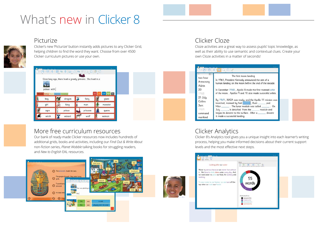## What's new in Clicker 8

#### Picturize



Clicker's new 'Picturize' button instantly adds pictures to any Clicker Grid, helping children to find the word they want. Choose from over 4500 Clicker curriculum pictures or use your own.

|             |                                                  | Once long ago, there lived a greedy princess. She lived in a |               |
|-------------|--------------------------------------------------|--------------------------------------------------------------|---------------|
|             |                                                  |                                                              |               |
| palace with |                                                  |                                                              |               |
|             | Characters Settings Nouns Adjectives Connectives | $\overline{\mathbf{z}}$                                      | <b>IEEE</b>   |
|             |                                                  |                                                              |               |
| boy         | dragon<br>$\mathbf{z}_\alpha$                    | fairy                                                        | giant         |
| girl        | king                                             | man<br>IJ                                                    | monster<br>ų, |
| ogre        | Ä<br>prince<br>흞                                 | princess                                                     | queen         |

#### More free curriculum resources

Our bank of ready-made Clicker resources now includes hundreds of additional grids, books and activities, including our *Find Out & Write About* non-fiction series, *Planet Wobble* talking books for struggling readers, and *New to English* EAL resources.



#### Clicker Cloze

Cloze activities are a great way to assess pupils' topic knowledge, as well as their ability to use semantic and contextual clues. Create your own Cloze activities in a matter of seconds!

|                                                         | $\Gamma$ - $\mathbb{P}$ - $\mathbb{P}$ of - $\mathbb{E}$ Q $\mathbb{D}$ /                                                                                                                                                                                                                                                     |  |
|---------------------------------------------------------|-------------------------------------------------------------------------------------------------------------------------------------------------------------------------------------------------------------------------------------------------------------------------------------------------------------------------------|--|
| ФV<br>two hour<br>Armstrong<br>Aldrin                   | The first moon landing<br>In 1961, President Kennedy announced the aim of a<br>human landing on the moon before the end of the decade.                                                                                                                                                                                        |  |
| 20<br>1968                                              | In December 1968, Apollo 8 made the first manned orbit<br>of the moon. Apollos 9 and 10 also made successful orbits.                                                                                                                                                                                                          |  |
| 21 July<br>Collins<br>3am<br>1969<br>command<br>mankind | By 1969, NASA was ready, and the Apollo 11 mission was<br>launched, manned by Neil _______, Buzz _______ and<br>Mike ________. The lunar module was called ________. On<br>July _______, it detached from the _______ module and<br>began its descent to the surface. After a ______ descent<br>it made a successful landing. |  |

### Clicker Analytics

Clicker 8's Analytics tool gives you a unique insight into each learner's writing process, helping you make informed decisions about their current support levels and the most effective next steps.

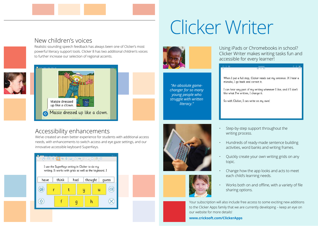# Clicker Writer

#### New children's voices

Realistic-sounding speech feedback has always been one of Clicker's most powerful literacy support tools. Clicker 8 has two additional children's voices to further increase our selection of regional accents.





#### Accessibility enhancements

We've created an even better experience for students with additional access needs, with enhancements to switch access and eye gaze settings, and our innovative accessible keyboard SuperKeys.

#### $\cdot$  T  $\cdot$  T  $\cdot$  E  $\cdot$  E  $\times$  0  $\overline{z}$  E  $\times$  E  $\cdot$  =  $\circ$  E  $\oplus$   $\circ$ I use the SuperKeys setting in Clicker to do my writing. It works with grids as well as the keyboard. I thought have think had quess 4  $\circledcirc$  $\mathbf{u}$ Ч  $\propto$  $\bigcirc$ q h



*"An absolute gamechanger for so many young people who struggle with written literacy."*

Using iPads or Chromebooks in school? Clicker Writer makes writing tasks fun and accessible for every learner!

When I put a full stop, Clicker reads out my sentence. If I hear a mistake. I go back and correct it.

I can hear any part of my writing whenever I like, and if I don't like what I've written, I change it.

So with Clicker, I can write on my own!





- Step-by-step support throughout the writing process.
- Hundreds of ready-made sentence building activities, word banks and writing frames.
- Quickly create your own writing grids on any topic.
- Change how the app looks and acts to meet each child's learning needs.
- Works both on and offline, with a variety of file sharing options.

Your subscription will also include free access to some exciting new additions to the Clicker Apps family that we are currently developing – keep an eye on our website for more details!

**[www.cricksoft.com/ClickerApps](https://www.cricksoft.com/ClickerApps)**